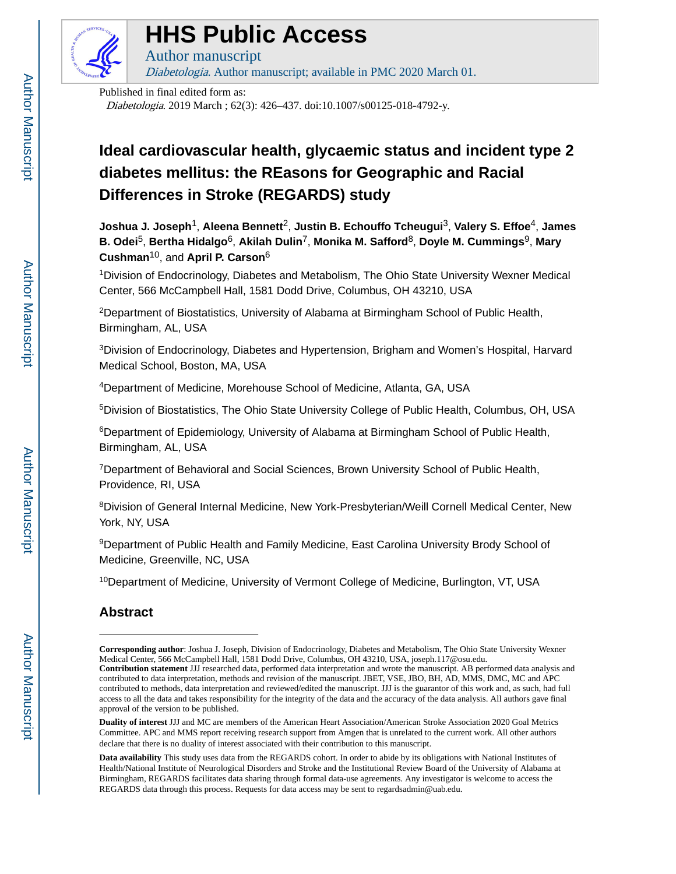

### **HHS Public Access**

Author manuscript

Diabetologia. Author manuscript; available in PMC 2020 March 01.

Published in final edited form as: Diabetologia. 2019 March ; 62(3): 426–437. doi:10.1007/s00125-018-4792-y.

#### **Ideal cardiovascular health, glycaemic status and incident type 2 diabetes mellitus: the REasons for Geographic and Racial Differences in Stroke (REGARDS) study**

**Joshua J. Joseph**1, **Aleena Bennett**2, **Justin B. Echouffo Tcheugui**3, **Valery S. Effoe**4, **James B. Odei**5, **Bertha Hidalgo**6, **Akilah Dulin**7, **Monika M. Safford**8, **Doyle M. Cummings**9, **Mary Cushman**10, and **April P. Carson**<sup>6</sup>

<sup>1</sup>Division of Endocrinology, Diabetes and Metabolism, The Ohio State University Wexner Medical Center, 566 McCampbell Hall, 1581 Dodd Drive, Columbus, OH 43210, USA

<sup>2</sup>Department of Biostatistics, University of Alabama at Birmingham School of Public Health, Birmingham, AL, USA

<sup>3</sup>Division of Endocrinology, Diabetes and Hypertension, Brigham and Women's Hospital, Harvard Medical School, Boston, MA, USA

<sup>4</sup>Department of Medicine, Morehouse School of Medicine, Atlanta, GA, USA

<sup>5</sup>Division of Biostatistics, The Ohio State University College of Public Health, Columbus, OH, USA

<sup>6</sup>Department of Epidemiology, University of Alabama at Birmingham School of Public Health, Birmingham, AL, USA

<sup>7</sup>Department of Behavioral and Social Sciences, Brown University School of Public Health, Providence, RI, USA

<sup>8</sup>Division of General Internal Medicine, New York-Presbyterian/Weill Cornell Medical Center, New York, NY, USA

<sup>9</sup>Department of Public Health and Family Medicine, East Carolina University Brody School of Medicine, Greenville, NC, USA

<sup>10</sup>Department of Medicine, University of Vermont College of Medicine, Burlington, VT, USA

#### **Abstract**

**Corresponding author**: Joshua J. Joseph, Division of Endocrinology, Diabetes and Metabolism, The Ohio State University Wexner Medical Center, 566 McCampbell Hall, 1581 Dodd Drive, Columbus, OH 43210, USA, joseph.117@osu.edu.

**Contribution statement** JJJ researched data, performed data interpretation and wrote the manuscript. AB performed data analysis and contributed to data interpretation, methods and revision of the manuscript. JBET, VSE, JBO, BH, AD, MMS, DMC, MC and APC contributed to methods, data interpretation and reviewed/edited the manuscript. JJJ is the guarantor of this work and, as such, had full access to all the data and takes responsibility for the integrity of the data and the accuracy of the data analysis. All authors gave final approval of the version to be published.

**Duality of interest** JJJ and MC are members of the American Heart Association/American Stroke Association 2020 Goal Metrics Committee. APC and MMS report receiving research support from Amgen that is unrelated to the current work. All other authors declare that there is no duality of interest associated with their contribution to this manuscript.

**Data availability** This study uses data from the REGARDS cohort. In order to abide by its obligations with National Institutes of Health/National Institute of Neurological Disorders and Stroke and the Institutional Review Board of the University of Alabama at Birmingham, REGARDS facilitates data sharing through formal data-use agreements. Any investigator is welcome to access the REGARDS data through this process. Requests for data access may be sent to regardsadmin@uab.edu.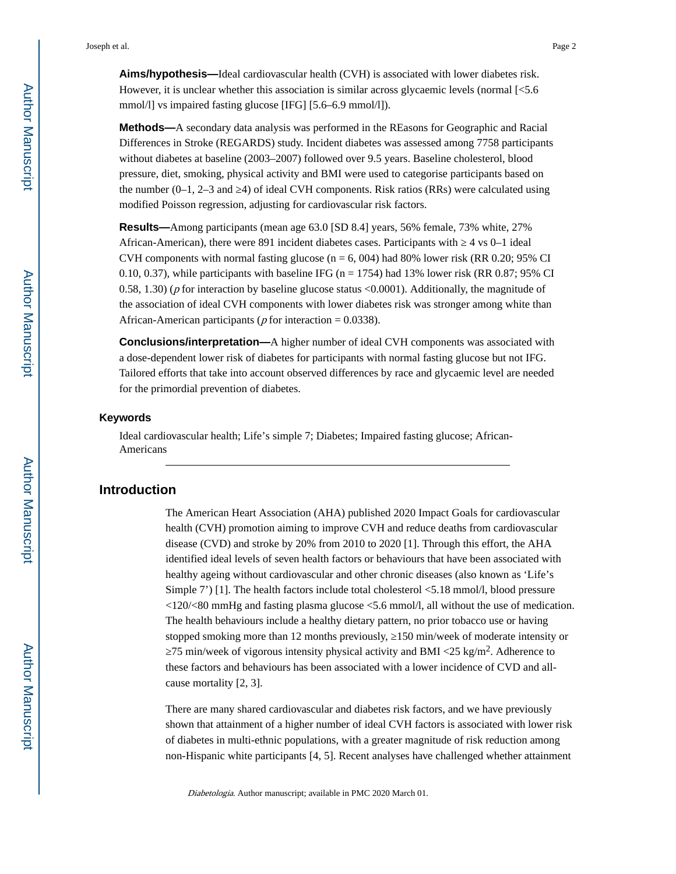**Aims/hypothesis—**Ideal cardiovascular health (CVH) is associated with lower diabetes risk. However, it is unclear whether this association is similar across glycaemic levels (normal [<5.6 mmol/l] vs impaired fasting glucose [IFG] [5.6–6.9 mmol/l]).

**Methods—**A secondary data analysis was performed in the REasons for Geographic and Racial Differences in Stroke (REGARDS) study. Incident diabetes was assessed among 7758 participants without diabetes at baseline (2003–2007) followed over 9.5 years. Baseline cholesterol, blood pressure, diet, smoking, physical activity and BMI were used to categorise participants based on the number  $(0-1, 2-3$  and  $4)$  of ideal CVH components. Risk ratios (RRs) were calculated using modified Poisson regression, adjusting for cardiovascular risk factors.

**Results—**Among participants (mean age 63.0 [SD 8.4] years, 56% female, 73% white, 27% African-American), there were 891 incident diabetes cases. Participants with ⊥4 vs 0–1 ideal CVH components with normal fasting glucose ( $n = 6$ , 004) had 80% lower risk (RR 0.20; 95% CI 0.10, 0.37), while participants with baseline IFG ( $n = 1754$ ) had 13% lower risk (RR 0.87; 95% CI 0.58, 1.30) ( $p$  for interaction by baseline glucose status <0.0001). Additionally, the magnitude of the association of ideal CVH components with lower diabetes risk was stronger among white than African-American participants ( $p$  for interaction = 0.0338).

**Conclusions/interpretation—**A higher number of ideal CVH components was associated with a dose-dependent lower risk of diabetes for participants with normal fasting glucose but not IFG. Tailored efforts that take into account observed differences by race and glycaemic level are needed for the primordial prevention of diabetes.

#### **Keywords**

Ideal cardiovascular health; Life's simple 7; Diabetes; Impaired fasting glucose; African-Americans

#### **Introduction**

The American Heart Association (AHA) published 2020 Impact Goals for cardiovascular health (CVH) promotion aiming to improve CVH and reduce deaths from cardiovascular disease (CVD) and stroke by 20% from 2010 to 2020 [1]. Through this effort, the AHA identified ideal levels of seven health factors or behaviours that have been associated with healthy ageing without cardiovascular and other chronic diseases (also known as 'Life's Simple 7') [1]. The health factors include total cholesterol <5.18 mmol/l, blood pressure  $\langle 120 \times 80$  mmHg and fasting plasma glucose  $\langle 5.6$  mmol/l, all without the use of medication. The health behaviours include a healthy dietary pattern, no prior tobacco use or having stopped smoking more than 12 months previously, 150 min/week of moderate intensity or

75 min/week of vigorous intensity physical activity and BMI <25 kg/m<sup>2</sup>. Adherence to these factors and behaviours has been associated with a lower incidence of CVD and allcause mortality [2, 3].

There are many shared cardiovascular and diabetes risk factors, and we have previously shown that attainment of a higher number of ideal CVH factors is associated with lower risk of diabetes in multi-ethnic populations, with a greater magnitude of risk reduction among non-Hispanic white participants [4, 5]. Recent analyses have challenged whether attainment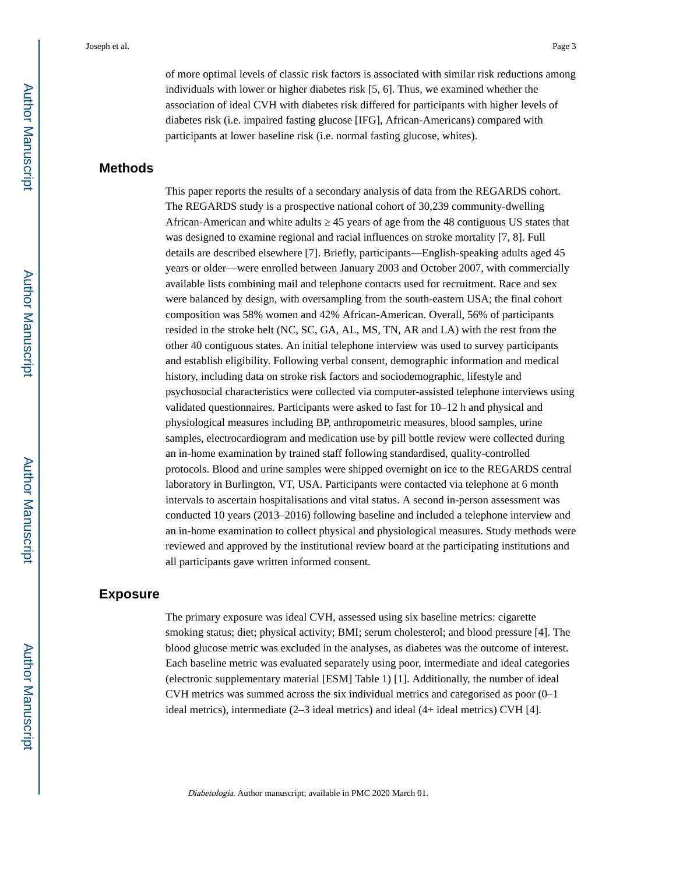of more optimal levels of classic risk factors is associated with similar risk reductions among individuals with lower or higher diabetes risk [5, 6]. Thus, we examined whether the association of ideal CVH with diabetes risk differed for participants with higher levels of diabetes risk (i.e. impaired fasting glucose [IFG], African-Americans) compared with participants at lower baseline risk (i.e. normal fasting glucose, whites).

#### **Methods**

This paper reports the results of a secondary analysis of data from the REGARDS cohort. The REGARDS study is a prospective national cohort of 30,239 community-dwelling African-American and white adults  $\frac{45 \text{ years}}{45 \text{ years}}$  45 years of age from the 48 contiguous US states that was designed to examine regional and racial influences on stroke mortality [7, 8]. Full details are described elsewhere [7]. Briefly, participants—English-speaking adults aged 45 years or older—were enrolled between January 2003 and October 2007, with commercially available lists combining mail and telephone contacts used for recruitment. Race and sex were balanced by design, with oversampling from the south-eastern USA; the final cohort composition was 58% women and 42% African-American. Overall, 56% of participants resided in the stroke belt (NC, SC, GA, AL, MS, TN, AR and LA) with the rest from the other 40 contiguous states. An initial telephone interview was used to survey participants and establish eligibility. Following verbal consent, demographic information and medical history, including data on stroke risk factors and sociodemographic, lifestyle and psychosocial characteristics were collected via computer-assisted telephone interviews using validated questionnaires. Participants were asked to fast for 10–12 h and physical and physiological measures including BP, anthropometric measures, blood samples, urine samples, electrocardiogram and medication use by pill bottle review were collected during an in-home examination by trained staff following standardised, quality-controlled protocols. Blood and urine samples were shipped overnight on ice to the REGARDS central laboratory in Burlington, VT, USA. Participants were contacted via telephone at 6 month intervals to ascertain hospitalisations and vital status. A second in-person assessment was conducted 10 years (2013–2016) following baseline and included a telephone interview and an in-home examination to collect physical and physiological measures. Study methods were reviewed and approved by the institutional review board at the participating institutions and all participants gave written informed consent.

#### **Exposure**

The primary exposure was ideal CVH, assessed using six baseline metrics: cigarette smoking status; diet; physical activity; BMI; serum cholesterol; and blood pressure [4]. The blood glucose metric was excluded in the analyses, as diabetes was the outcome of interest. Each baseline metric was evaluated separately using poor, intermediate and ideal categories (electronic supplementary material [ESM] Table 1) [1]. Additionally, the number of ideal CVH metrics was summed across the six individual metrics and categorised as poor  $(0-1)$ ideal metrics), intermediate (2–3 ideal metrics) and ideal (4+ ideal metrics) CVH [4].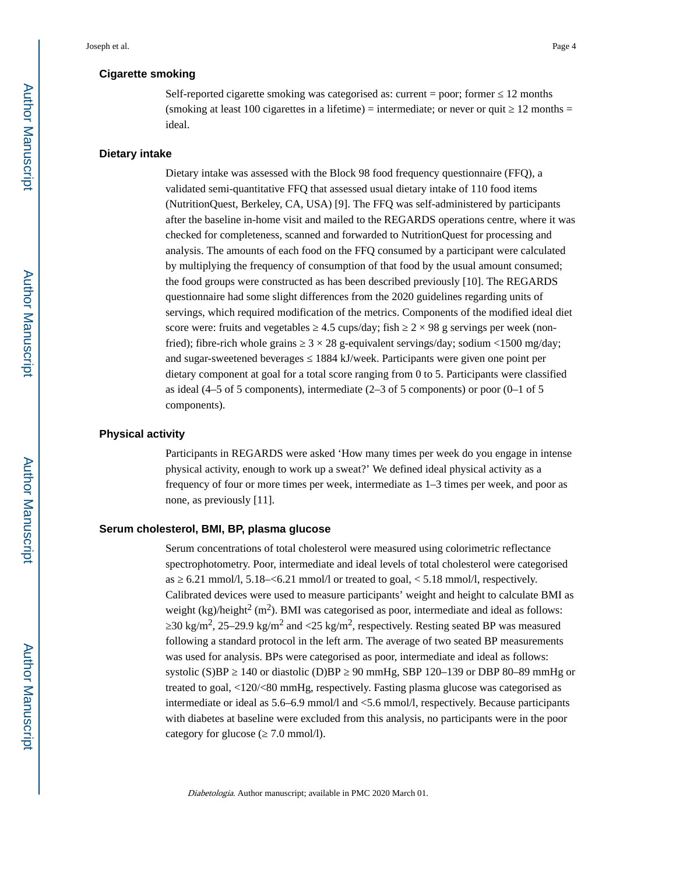#### **Cigarette smoking**

Self-reported cigarette smoking was categorised as: current = poor; former  $\frac{12 \text{ months}}{2}$ (smoking at least 100 cigarettes in a lifetime) = intermediate; or never or quit  $12$  months = ideal.

#### **Dietary intake**

Dietary intake was assessed with the Block 98 food frequency questionnaire (FFQ), a validated semi-quantitative FFQ that assessed usual dietary intake of 110 food items (NutritionQuest, Berkeley, CA, USA) [9]. The FFQ was self-administered by participants after the baseline in-home visit and mailed to the REGARDS operations centre, where it was checked for completeness, scanned and forwarded to NutritionQuest for processing and analysis. The amounts of each food on the FFQ consumed by a participant were calculated by multiplying the frequency of consumption of that food by the usual amount consumed; the food groups were constructed as has been described previously [10]. The REGARDS questionnaire had some slight differences from the 2020 guidelines regarding units of servings, which required modification of the metrics. Components of the modified ideal diet score were: fruits and vegetables  $4.5 \text{ cups/day}$ ; fish  $2 \times 98 \text{ g}$  servings per week (nonfried); fibre-rich whole grains  $3 \times 28$  g-equivalent servings/day; sodium <1500 mg/day; and sugar-sweetened beverages 1884 kJ/week. Participants were given one point per dietary component at goal for a total score ranging from 0 to 5. Participants were classified as ideal (4–5 of 5 components), intermediate (2–3 of 5 components) or poor (0–1 of 5 components).

#### **Physical activity**

Participants in REGARDS were asked 'How many times per week do you engage in intense physical activity, enough to work up a sweat?' We defined ideal physical activity as a frequency of four or more times per week, intermediate as 1–3 times per week, and poor as none, as previously [11].

#### **Serum cholesterol, BMI, BP, plasma glucose**

Serum concentrations of total cholesterol were measured using colorimetric reflectance spectrophotometry. Poor, intermediate and ideal levels of total cholesterol were categorised as  $\epsilon$  6.21 mmol/l, 5.18– $\epsilon$ 6.21 mmol/l or treated to goal,  $\epsilon$  5.18 mmol/l, respectively. Calibrated devices were used to measure participants' weight and height to calculate BMI as weight (kg)/height<sup>2</sup> (m<sup>2</sup>). BMI was categorised as poor, intermediate and ideal as follows: 30 kg/m<sup>2</sup>, 25–29.9 kg/m<sup>2</sup> and <25 kg/m<sup>2</sup>, respectively. Resting seated BP was measured following a standard protocol in the left arm. The average of two seated BP measurements was used for analysis. BPs were categorised as poor, intermediate and ideal as follows: systolic (S)BP  $\,$  140 or diastolic (D)BP  $\,$  90 mmHg, SBP 120–139 or DBP 80–89 mmHg or treated to goal, <120/<80 mmHg, respectively. Fasting plasma glucose was categorised as intermediate or ideal as 5.6–6.9 mmol/l and <5.6 mmol/l, respectively. Because participants with diabetes at baseline were excluded from this analysis, no participants were in the poor category for glucose ( $\sim$  7.0 mmol/l).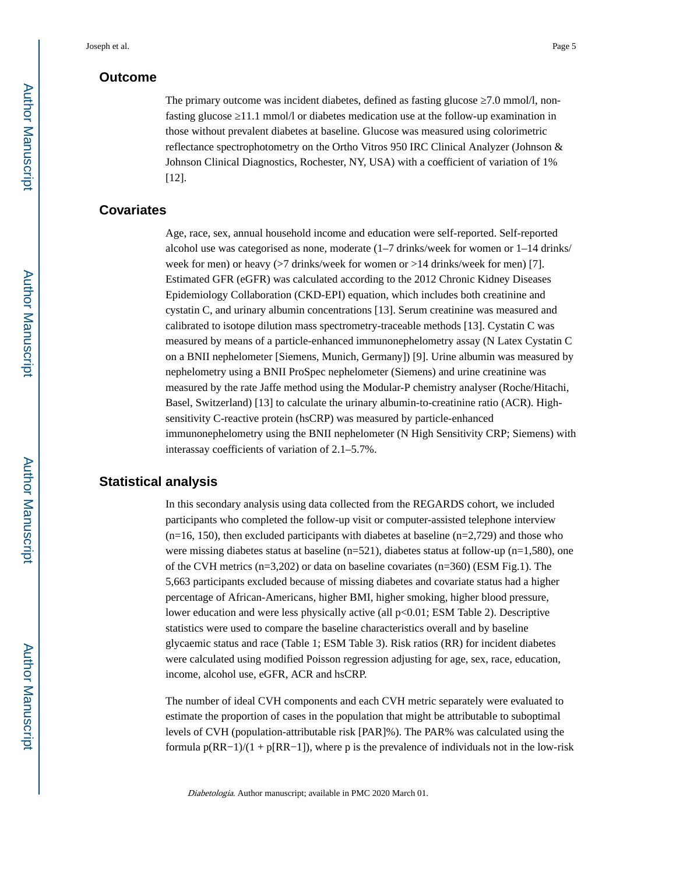#### **Outcome**

The primary outcome was incident diabetes, defined as fasting glucose  $\frac{7.0 \text{ mmol}}{l}$ , nonfasting glucose 11.1 mmol/l or diabetes medication use at the follow-up examination in those without prevalent diabetes at baseline. Glucose was measured using colorimetric reflectance spectrophotometry on the Ortho Vitros 950 IRC Clinical Analyzer (Johnson & Johnson Clinical Diagnostics, Rochester, NY, USA) with a coefficient of variation of 1% [12].

#### **Covariates**

Age, race, sex, annual household income and education were self-reported. Self-reported alcohol use was categorised as none, moderate (1–7 drinks/week for women or 1–14 drinks/ week for men) or heavy (>7 drinks/week for women or >14 drinks/week for men) [7]. Estimated GFR (eGFR) was calculated according to the 2012 Chronic Kidney Diseases Epidemiology Collaboration (CKD-EPI) equation, which includes both creatinine and cystatin C, and urinary albumin concentrations [13]. Serum creatinine was measured and calibrated to isotope dilution mass spectrometry-traceable methods [13]. Cystatin C was measured by means of a particle-enhanced immunonephelometry assay (N Latex Cystatin C on a BNII nephelometer [Siemens, Munich, Germany]) [9]. Urine albumin was measured by nephelometry using a BNII ProSpec nephelometer (Siemens) and urine creatinine was measured by the rate Jaffe method using the Modular-P chemistry analyser (Roche/Hitachi, Basel, Switzerland) [13] to calculate the urinary albumin-to-creatinine ratio (ACR). Highsensitivity C-reactive protein (hsCRP) was measured by particle-enhanced immunonephelometry using the BNII nephelometer (N High Sensitivity CRP; Siemens) with interassay coefficients of variation of 2.1–5.7%.

#### **Statistical analysis**

In this secondary analysis using data collected from the REGARDS cohort, we included participants who completed the follow-up visit or computer-assisted telephone interview  $(n=16, 150)$ , then excluded participants with diabetes at baseline  $(n=2,729)$  and those who were missing diabetes status at baseline  $(n=521)$ , diabetes status at follow-up  $(n=1,580)$ , one of the CVH metrics (n=3,202) or data on baseline covariates (n=360) (ESM Fig.1). The 5,663 participants excluded because of missing diabetes and covariate status had a higher percentage of African-Americans, higher BMI, higher smoking, higher blood pressure, lower education and were less physically active (all p<0.01; ESM Table 2). Descriptive statistics were used to compare the baseline characteristics overall and by baseline glycaemic status and race (Table 1; ESM Table 3). Risk ratios (RR) for incident diabetes were calculated using modified Poisson regression adjusting for age, sex, race, education, income, alcohol use, eGFR, ACR and hsCRP.

The number of ideal CVH components and each CVH metric separately were evaluated to estimate the proportion of cases in the population that might be attributable to suboptimal levels of CVH (population-attributable risk [PAR]%). The PAR% was calculated using the formula  $p(RR-1)/(1 + p[RR-1])$ , where p is the prevalence of individuals not in the low-risk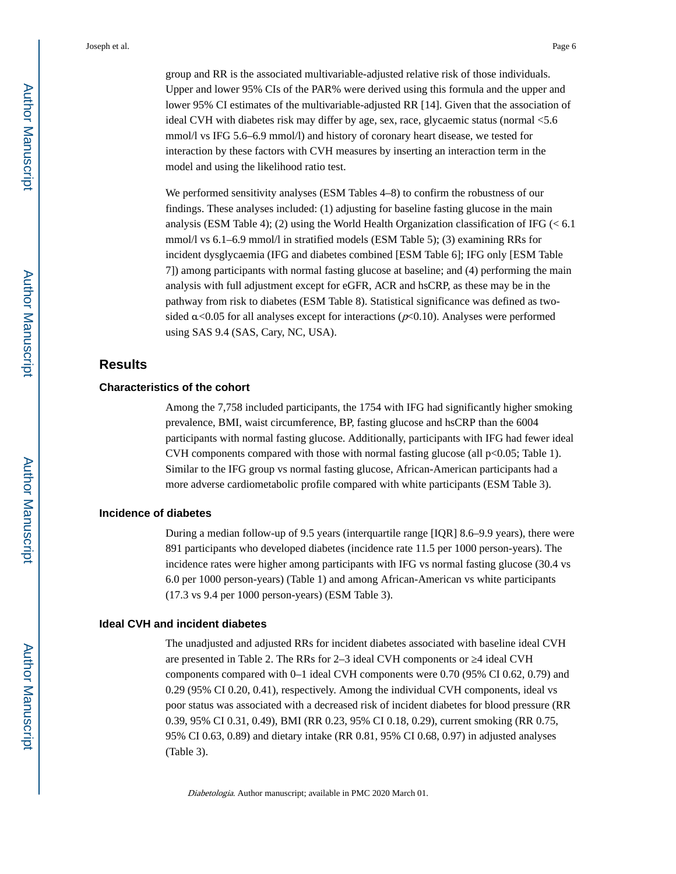group and RR is the associated multivariable-adjusted relative risk of those individuals. Upper and lower 95% CIs of the PAR% were derived using this formula and the upper and lower 95% CI estimates of the multivariable-adjusted RR [14]. Given that the association of ideal CVH with diabetes risk may differ by age, sex, race, glycaemic status (normal <5.6 mmol/l vs IFG 5.6–6.9 mmol/l) and history of coronary heart disease, we tested for interaction by these factors with CVH measures by inserting an interaction term in the model and using the likelihood ratio test.

We performed sensitivity analyses (ESM Tables 4–8) to confirm the robustness of our findings. These analyses included: (1) adjusting for baseline fasting glucose in the main analysis (ESM Table 4); (2) using the World Health Organization classification of IFG ( $< 6.1$ ) mmol/l vs 6.1–6.9 mmol/l in stratified models (ESM Table 5); (3) examining RRs for incident dysglycaemia (IFG and diabetes combined [ESM Table 6]; IFG only [ESM Table 7]) among participants with normal fasting glucose at baseline; and (4) performing the main analysis with full adjustment except for eGFR, ACR and hsCRP, as these may be in the pathway from risk to diabetes (ESM Table 8). Statistical significance was defined as twosided  $\alpha$ <0.05 for all analyses except for interactions ( $p$ <0.10). Analyses were performed using SAS 9.4 (SAS, Cary, NC, USA).

#### **Results**

#### **Characteristics of the cohort**

Among the 7,758 included participants, the 1754 with IFG had significantly higher smoking prevalence, BMI, waist circumference, BP, fasting glucose and hsCRP than the 6004 participants with normal fasting glucose. Additionally, participants with IFG had fewer ideal CVH components compared with those with normal fasting glucose (all  $p<0.05$ ; Table 1). Similar to the IFG group vs normal fasting glucose, African-American participants had a more adverse cardiometabolic profile compared with white participants (ESM Table 3).

#### **Incidence of diabetes**

During a median follow-up of 9.5 years (interquartile range [IQR] 8.6–9.9 years), there were 891 participants who developed diabetes (incidence rate 11.5 per 1000 person-years). The incidence rates were higher among participants with IFG vs normal fasting glucose (30.4 vs 6.0 per 1000 person-years) (Table 1) and among African-American vs white participants (17.3 vs 9.4 per 1000 person-years) (ESM Table 3).

#### **Ideal CVH and incident diabetes**

The unadjusted and adjusted RRs for incident diabetes associated with baseline ideal CVH are presented in Table 2. The RRs for 2–3 ideal CVH components or  $\,$  4 ideal CVH components compared with 0–1 ideal CVH components were 0.70 (95% CI 0.62, 0.79) and 0.29 (95% CI 0.20, 0.41), respectively. Among the individual CVH components, ideal vs poor status was associated with a decreased risk of incident diabetes for blood pressure (RR 0.39, 95% CI 0.31, 0.49), BMI (RR 0.23, 95% CI 0.18, 0.29), current smoking (RR 0.75, 95% CI 0.63, 0.89) and dietary intake (RR 0.81, 95% CI 0.68, 0.97) in adjusted analyses (Table 3).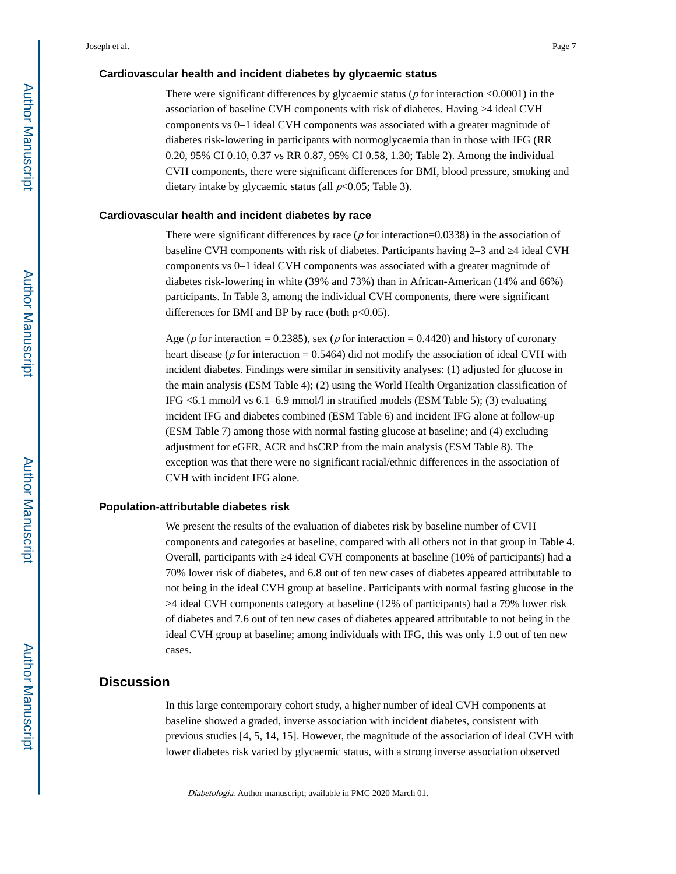#### **Cardiovascular health and incident diabetes by glycaemic status**

There were significant differences by glycaemic status ( $p$  for interaction  $\leq 0.0001$ ) in the association of baseline CVH components with risk of diabetes. Having  $\,$  4 ideal CVH components vs 0–1 ideal CVH components was associated with a greater magnitude of diabetes risk-lowering in participants with normoglycaemia than in those with IFG (RR 0.20, 95% CI 0.10, 0.37 vs RR 0.87, 95% CI 0.58, 1.30; Table 2). Among the individual CVH components, there were significant differences for BMI, blood pressure, smoking and dietary intake by glycaemic status (all  $p<0.05$ ; Table 3).

#### **Cardiovascular health and incident diabetes by race**

There were significant differences by race ( $p$  for interaction=0.0338) in the association of baseline CVH components with risk of diabetes. Participants having  $2-3$  and  $\dot{ }$  4 ideal CVH components vs 0–1 ideal CVH components was associated with a greater magnitude of diabetes risk-lowering in white (39% and 73%) than in African-American (14% and 66%) participants. In Table 3, among the individual CVH components, there were significant differences for BMI and BP by race (both  $p<0.05$ ).

Age ( $p$  for interaction = 0.2385), sex ( $p$  for interaction = 0.4420) and history of coronary heart disease ( $p$  for interaction = 0.5464) did not modify the association of ideal CVH with incident diabetes. Findings were similar in sensitivity analyses: (1) adjusted for glucose in the main analysis (ESM Table 4); (2) using the World Health Organization classification of IFG <6.1 mmol/l vs 6.1–6.9 mmol/l in stratified models (ESM Table 5); (3) evaluating incident IFG and diabetes combined (ESM Table 6) and incident IFG alone at follow-up (ESM Table 7) among those with normal fasting glucose at baseline; and (4) excluding adjustment for eGFR, ACR and hsCRP from the main analysis (ESM Table 8). The exception was that there were no significant racial/ethnic differences in the association of CVH with incident IFG alone.

#### **Population-attributable diabetes risk**

We present the results of the evaluation of diabetes risk by baseline number of CVH components and categories at baseline, compared with all others not in that group in Table 4. Overall, participants with ≥4 ideal CVH components at baseline (10% of participants) had a 70% lower risk of diabetes, and 6.8 out of ten new cases of diabetes appeared attributable to not being in the ideal CVH group at baseline. Participants with normal fasting glucose in the ≥4 ideal CVH components category at baseline (12% of participants) had a 79% lower risk of diabetes and 7.6 out of ten new cases of diabetes appeared attributable to not being in the ideal CVH group at baseline; among individuals with IFG, this was only 1.9 out of ten new cases.

#### **Discussion**

In this large contemporary cohort study, a higher number of ideal CVH components at baseline showed a graded, inverse association with incident diabetes, consistent with previous studies [4, 5, 14, 15]. However, the magnitude of the association of ideal CVH with lower diabetes risk varied by glycaemic status, with a strong inverse association observed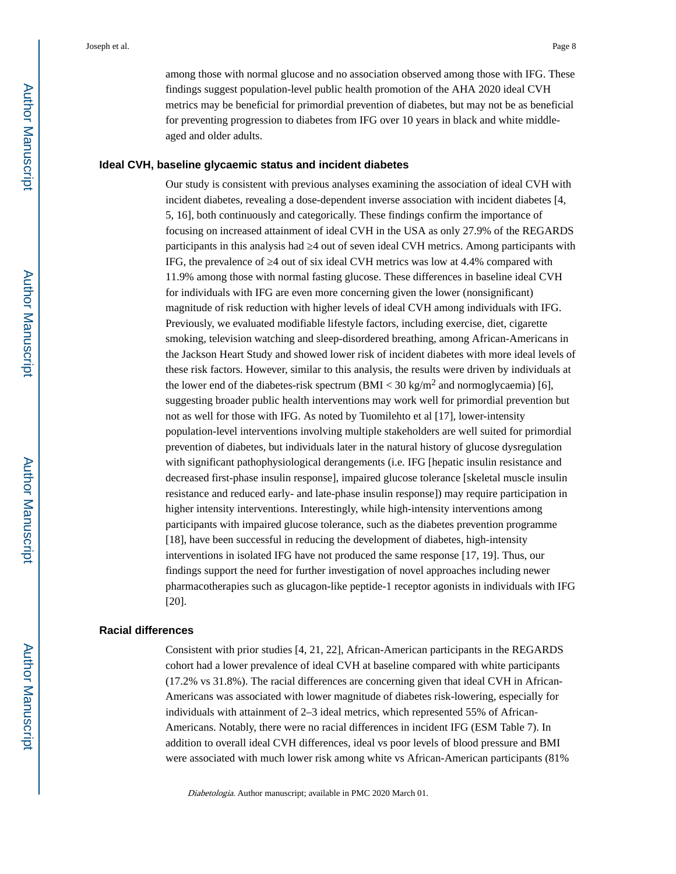among those with normal glucose and no association observed among those with IFG. These findings suggest population-level public health promotion of the AHA 2020 ideal CVH metrics may be beneficial for primordial prevention of diabetes, but may not be as beneficial for preventing progression to diabetes from IFG over 10 years in black and white middleaged and older adults.

#### **Ideal CVH, baseline glycaemic status and incident diabetes**

Our study is consistent with previous analyses examining the association of ideal CVH with incident diabetes, revealing a dose-dependent inverse association with incident diabetes [4, 5, 16], both continuously and categorically. These findings confirm the importance of focusing on increased attainment of ideal CVH in the USA as only 27.9% of the REGARDS participants in this analysis had  $\,$  4 out of seven ideal CVH metrics. Among participants with IFG, the prevalence of 4 out of six ideal CVH metrics was low at 4.4% compared with 11.9% among those with normal fasting glucose. These differences in baseline ideal CVH for individuals with IFG are even more concerning given the lower (nonsignificant) magnitude of risk reduction with higher levels of ideal CVH among individuals with IFG. Previously, we evaluated modifiable lifestyle factors, including exercise, diet, cigarette smoking, television watching and sleep-disordered breathing, among African-Americans in the Jackson Heart Study and showed lower risk of incident diabetes with more ideal levels of these risk factors. However, similar to this analysis, the results were driven by individuals at the lower end of the diabetes-risk spectrum  $(BMI < 30 \text{ kg/m}^2$  and normoglycaemia) [6], suggesting broader public health interventions may work well for primordial prevention but not as well for those with IFG. As noted by Tuomilehto et al [17], lower-intensity population-level interventions involving multiple stakeholders are well suited for primordial prevention of diabetes, but individuals later in the natural history of glucose dysregulation with significant pathophysiological derangements (i.e. IFG [hepatic insulin resistance and decreased first-phase insulin response], impaired glucose tolerance [skeletal muscle insulin resistance and reduced early- and late-phase insulin response]) may require participation in higher intensity interventions. Interestingly, while high-intensity interventions among participants with impaired glucose tolerance, such as the diabetes prevention programme [18], have been successful in reducing the development of diabetes, high-intensity interventions in isolated IFG have not produced the same response [17, 19]. Thus, our findings support the need for further investigation of novel approaches including newer pharmacotherapies such as glucagon-like peptide-1 receptor agonists in individuals with IFG [20].

#### **Racial differences**

Consistent with prior studies [4, 21, 22], African-American participants in the REGARDS cohort had a lower prevalence of ideal CVH at baseline compared with white participants (17.2% vs 31.8%). The racial differences are concerning given that ideal CVH in African-Americans was associated with lower magnitude of diabetes risk-lowering, especially for individuals with attainment of 2–3 ideal metrics, which represented 55% of African-Americans. Notably, there were no racial differences in incident IFG (ESM Table 7). In addition to overall ideal CVH differences, ideal vs poor levels of blood pressure and BMI were associated with much lower risk among white vs African-American participants (81%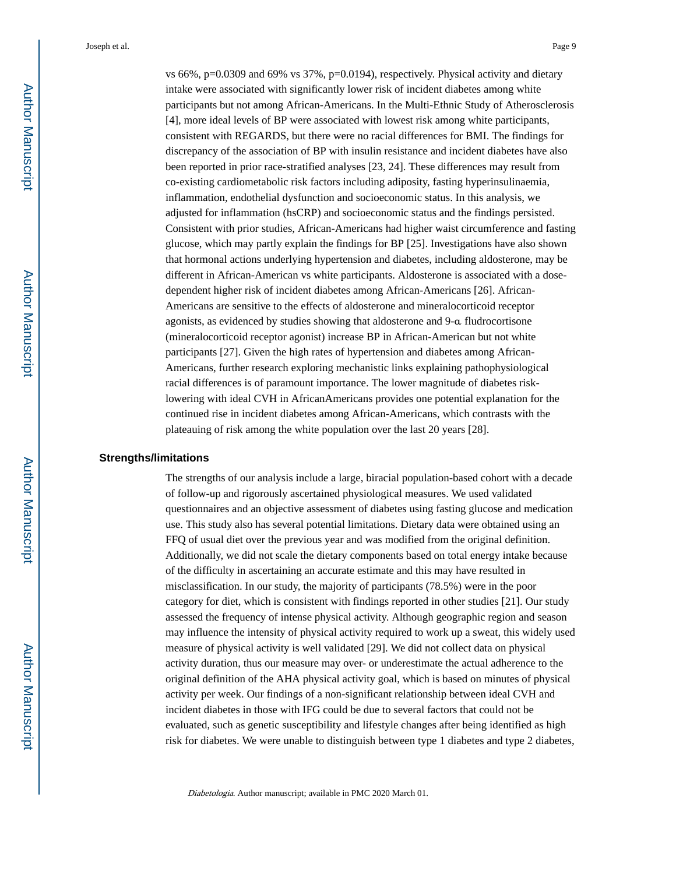vs  $66\%$ , p=0.0309 and  $69\%$  vs  $37\%$ , p=0.0194), respectively. Physical activity and dietary intake were associated with significantly lower risk of incident diabetes among white participants but not among African-Americans. In the Multi-Ethnic Study of Atherosclerosis [4], more ideal levels of BP were associated with lowest risk among white participants, consistent with REGARDS, but there were no racial differences for BMI. The findings for discrepancy of the association of BP with insulin resistance and incident diabetes have also been reported in prior race-stratified analyses [23, 24]. These differences may result from co-existing cardiometabolic risk factors including adiposity, fasting hyperinsulinaemia, inflammation, endothelial dysfunction and socioeconomic status. In this analysis, we adjusted for inflammation (hsCRP) and socioeconomic status and the findings persisted. Consistent with prior studies, African-Americans had higher waist circumference and fasting glucose, which may partly explain the findings for BP [25]. Investigations have also shown that hormonal actions underlying hypertension and diabetes, including aldosterone, may be different in African-American vs white participants. Aldosterone is associated with a dosedependent higher risk of incident diabetes among African-Americans [26]. African-Americans are sensitive to the effects of aldosterone and mineralocorticoid receptor agonists, as evidenced by studies showing that aldosterone and 9-α fludrocortisone (mineralocorticoid receptor agonist) increase BP in African-American but not white participants [27]. Given the high rates of hypertension and diabetes among African-Americans, further research exploring mechanistic links explaining pathophysiological racial differences is of paramount importance. The lower magnitude of diabetes risklowering with ideal CVH in AfricanAmericans provides one potential explanation for the continued rise in incident diabetes among African-Americans, which contrasts with the plateauing of risk among the white population over the last 20 years [28].

#### **Strengths/limitations**

The strengths of our analysis include a large, biracial population-based cohort with a decade of follow-up and rigorously ascertained physiological measures. We used validated questionnaires and an objective assessment of diabetes using fasting glucose and medication use. This study also has several potential limitations. Dietary data were obtained using an FFQ of usual diet over the previous year and was modified from the original definition. Additionally, we did not scale the dietary components based on total energy intake because of the difficulty in ascertaining an accurate estimate and this may have resulted in misclassification. In our study, the majority of participants (78.5%) were in the poor category for diet, which is consistent with findings reported in other studies [21]. Our study assessed the frequency of intense physical activity. Although geographic region and season may influence the intensity of physical activity required to work up a sweat, this widely used measure of physical activity is well validated [29]. We did not collect data on physical activity duration, thus our measure may over- or underestimate the actual adherence to the original definition of the AHA physical activity goal, which is based on minutes of physical activity per week. Our findings of a non-significant relationship between ideal CVH and incident diabetes in those with IFG could be due to several factors that could not be evaluated, such as genetic susceptibility and lifestyle changes after being identified as high risk for diabetes. We were unable to distinguish between type 1 diabetes and type 2 diabetes,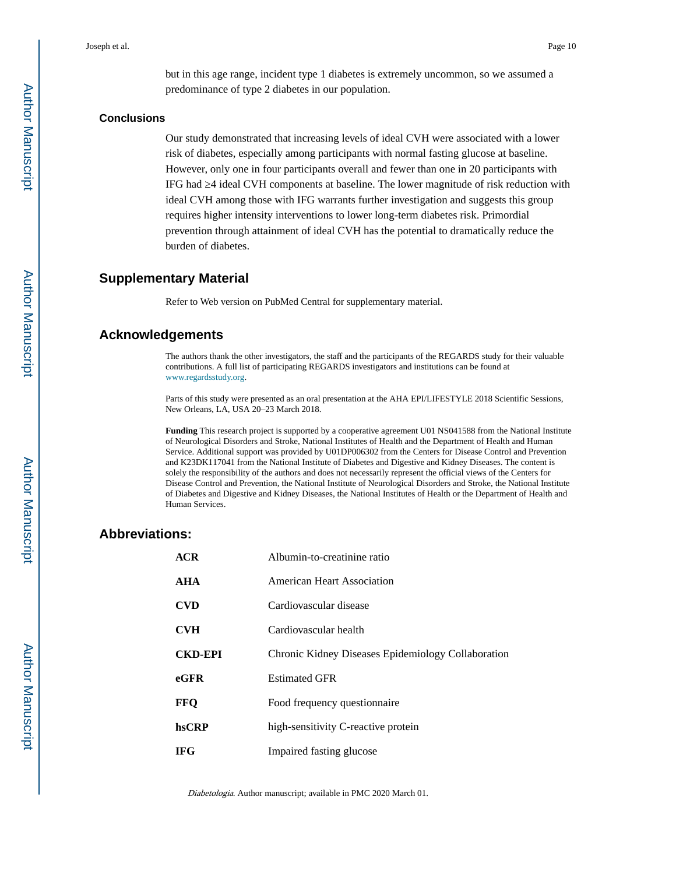but in this age range, incident type 1 diabetes is extremely uncommon, so we assumed a predominance of type 2 diabetes in our population.

#### **Conclusions**

Our study demonstrated that increasing levels of ideal CVH were associated with a lower risk of diabetes, especially among participants with normal fasting glucose at baseline. However, only one in four participants overall and fewer than one in 20 participants with IFG had  $\,$  4 ideal CVH components at baseline. The lower magnitude of risk reduction with ideal CVH among those with IFG warrants further investigation and suggests this group requires higher intensity interventions to lower long-term diabetes risk. Primordial prevention through attainment of ideal CVH has the potential to dramatically reduce the burden of diabetes.

#### **Supplementary Material**

Refer to Web version on PubMed Central for supplementary material.

#### **Acknowledgements**

The authors thank the other investigators, the staff and the participants of the REGARDS study for their valuable contributions. A full list of participating REGARDS investigators and institutions can be found at [www.regardsstudy.org.](http://www.regardsstudy.org/)

Parts of this study were presented as an oral presentation at the AHA EPI/LIFESTYLE 2018 Scientific Sessions, New Orleans, LA, USA 20–23 March 2018.

**Funding** This research project is supported by a cooperative agreement U01 NS041588 from the National Institute of Neurological Disorders and Stroke, National Institutes of Health and the Department of Health and Human Service. Additional support was provided by U01DP006302 from the Centers for Disease Control and Prevention and K23DK117041 from the National Institute of Diabetes and Digestive and Kidney Diseases. The content is solely the responsibility of the authors and does not necessarily represent the official views of the Centers for Disease Control and Prevention, the National Institute of Neurological Disorders and Stroke, the National Institute of Diabetes and Digestive and Kidney Diseases, the National Institutes of Health or the Department of Health and Human Services.

#### **Abbreviations:**

| ACR            | Albumin-to-creatinine ratio                        |
|----------------|----------------------------------------------------|
| AHA            | American Heart Association                         |
| <b>CVD</b>     | Cardiovascular disease                             |
| <b>CVH</b>     | Cardiovascular health                              |
| <b>CKD-EPI</b> | Chronic Kidney Diseases Epidemiology Collaboration |
| eGFR           | <b>Estimated GFR</b>                               |
| FFQ            | Food frequency questionnaire                       |
| hsCRP          | high-sensitivity C-reactive protein                |
| <b>IFG</b>     | Impaired fasting glucose                           |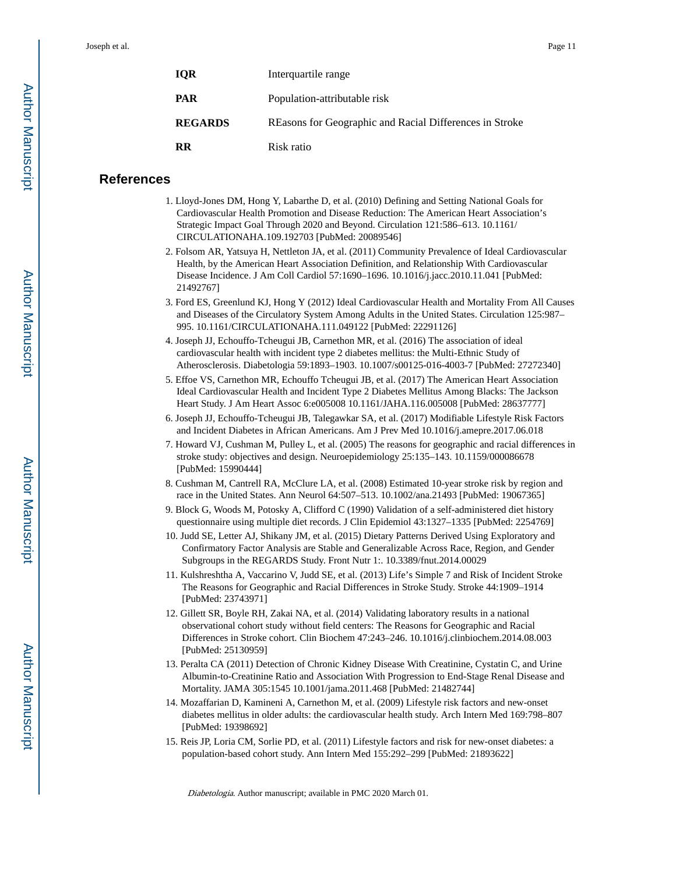| <b>IOR</b>     | Interguartile range                                     |
|----------------|---------------------------------------------------------|
| <b>PAR</b>     | Population-attributable risk                            |
| <b>REGARDS</b> | REasons for Geographic and Racial Differences in Stroke |
| <b>RR</b>      | Risk ratio                                              |

#### **References**

- 1. Lloyd-Jones DM, Hong Y, Labarthe D, et al. (2010) Defining and Setting National Goals for Cardiovascular Health Promotion and Disease Reduction: The American Heart Association's Strategic Impact Goal Through 2020 and Beyond. Circulation 121:586–613. 10.1161/ CIRCULATIONAHA.109.192703 [PubMed: 20089546]
- 2. Folsom AR, Yatsuya H, Nettleton JA, et al. (2011) Community Prevalence of Ideal Cardiovascular Health, by the American Heart Association Definition, and Relationship With Cardiovascular Disease Incidence. J Am Coll Cardiol 57:1690–1696. 10.1016/j.jacc.2010.11.041 [PubMed: 21492767]
- 3. Ford ES, Greenlund KJ, Hong Y (2012) Ideal Cardiovascular Health and Mortality From All Causes and Diseases of the Circulatory System Among Adults in the United States. Circulation 125:987– 995. 10.1161/CIRCULATIONAHA.111.049122 [PubMed: 22291126]
- 4. Joseph JJ, Echouffo-Tcheugui JB, Carnethon MR, et al. (2016) The association of ideal cardiovascular health with incident type 2 diabetes mellitus: the Multi-Ethnic Study of Atherosclerosis. Diabetologia 59:1893–1903. 10.1007/s00125-016-4003-7 [PubMed: 27272340]
- 5. Effoe VS, Carnethon MR, Echouffo Tcheugui JB, et al. (2017) The American Heart Association Ideal Cardiovascular Health and Incident Type 2 Diabetes Mellitus Among Blacks: The Jackson Heart Study. J Am Heart Assoc 6:e005008 10.1161/JAHA.116.005008 [PubMed: 28637777]
- 6. Joseph JJ, Echouffo-Tcheugui JB, Talegawkar SA, et al. (2017) Modifiable Lifestyle Risk Factors and Incident Diabetes in African Americans. Am J Prev Med 10.1016/j.amepre.2017.06.018
- 7. Howard VJ, Cushman M, Pulley L, et al. (2005) The reasons for geographic and racial differences in stroke study: objectives and design. Neuroepidemiology 25:135–143. 10.1159/000086678 [PubMed: 15990444]
- 8. Cushman M, Cantrell RA, McClure LA, et al. (2008) Estimated 10-year stroke risk by region and race in the United States. Ann Neurol 64:507–513. 10.1002/ana.21493 [PubMed: 19067365]
- 9. Block G, Woods M, Potosky A, Clifford C (1990) Validation of a self-administered diet history questionnaire using multiple diet records. J Clin Epidemiol 43:1327–1335 [PubMed: 2254769]
- 10. Judd SE, Letter AJ, Shikany JM, et al. (2015) Dietary Patterns Derived Using Exploratory and Confirmatory Factor Analysis are Stable and Generalizable Across Race, Region, and Gender Subgroups in the REGARDS Study. Front Nutr 1:. 10.3389/fnut.2014.00029
- 11. Kulshreshtha A, Vaccarino V, Judd SE, et al. (2013) Life's Simple 7 and Risk of Incident Stroke The Reasons for Geographic and Racial Differences in Stroke Study. Stroke 44:1909–1914 [PubMed: 23743971]
- 12. Gillett SR, Boyle RH, Zakai NA, et al. (2014) Validating laboratory results in a national observational cohort study without field centers: The Reasons for Geographic and Racial Differences in Stroke cohort. Clin Biochem 47:243–246. 10.1016/j.clinbiochem.2014.08.003 [PubMed: 25130959]
- 13. Peralta CA (2011) Detection of Chronic Kidney Disease With Creatinine, Cystatin C, and Urine Albumin-to-Creatinine Ratio and Association With Progression to End-Stage Renal Disease and Mortality. JAMA 305:1545 10.1001/jama.2011.468 [PubMed: 21482744]
- 14. Mozaffarian D, Kamineni A, Carnethon M, et al. (2009) Lifestyle risk factors and new-onset diabetes mellitus in older adults: the cardiovascular health study. Arch Intern Med 169:798–807 [PubMed: 19398692]
- 15. Reis JP, Loria CM, Sorlie PD, et al. (2011) Lifestyle factors and risk for new-onset diabetes: a population-based cohort study. Ann Intern Med 155:292–299 [PubMed: 21893622]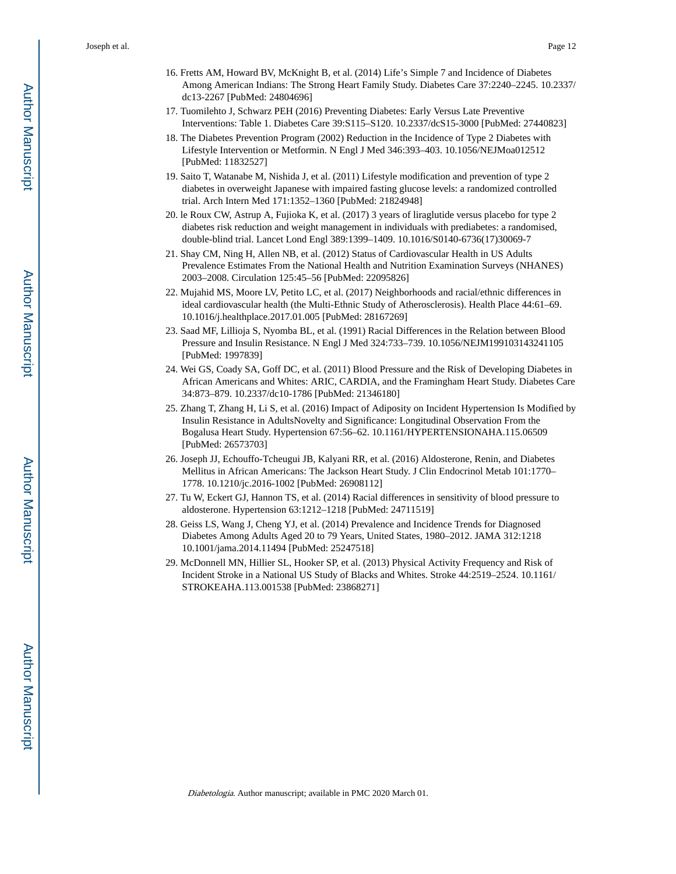- 16. Fretts AM, Howard BV, McKnight B, et al. (2014) Life's Simple 7 and Incidence of Diabetes Among American Indians: The Strong Heart Family Study. Diabetes Care 37:2240–2245. 10.2337/ dc13-2267 [PubMed: 24804696]
- 17. Tuomilehto J, Schwarz PEH (2016) Preventing Diabetes: Early Versus Late Preventive Interventions: Table 1. Diabetes Care 39:S115–S120. 10.2337/dcS15-3000 [PubMed: 27440823]
- 18. The Diabetes Prevention Program (2002) Reduction in the Incidence of Type 2 Diabetes with Lifestyle Intervention or Metformin. N Engl J Med 346:393–403. 10.1056/NEJMoa012512 [PubMed: 11832527]
- 19. Saito T, Watanabe M, Nishida J, et al. (2011) Lifestyle modification and prevention of type 2 diabetes in overweight Japanese with impaired fasting glucose levels: a randomized controlled trial. Arch Intern Med 171:1352–1360 [PubMed: 21824948]
- 20. le Roux CW, Astrup A, Fujioka K, et al. (2017) 3 years of liraglutide versus placebo for type 2 diabetes risk reduction and weight management in individuals with prediabetes: a randomised, double-blind trial. Lancet Lond Engl 389:1399–1409. 10.1016/S0140-6736(17)30069-7
- 21. Shay CM, Ning H, Allen NB, et al. (2012) Status of Cardiovascular Health in US Adults Prevalence Estimates From the National Health and Nutrition Examination Surveys (NHANES) 2003–2008. Circulation 125:45–56 [PubMed: 22095826]
- 22. Mujahid MS, Moore LV, Petito LC, et al. (2017) Neighborhoods and racial/ethnic differences in ideal cardiovascular health (the Multi-Ethnic Study of Atherosclerosis). Health Place 44:61–69. 10.1016/j.healthplace.2017.01.005 [PubMed: 28167269]
- 23. Saad MF, Lillioja S, Nyomba BL, et al. (1991) Racial Differences in the Relation between Blood Pressure and Insulin Resistance. N Engl J Med 324:733–739. 10.1056/NEJM199103143241105 [PubMed: 1997839]
- 24. Wei GS, Coady SA, Goff DC, et al. (2011) Blood Pressure and the Risk of Developing Diabetes in African Americans and Whites: ARIC, CARDIA, and the Framingham Heart Study. Diabetes Care 34:873–879. 10.2337/dc10-1786 [PubMed: 21346180]
- 25. Zhang T, Zhang H, Li S, et al. (2016) Impact of Adiposity on Incident Hypertension Is Modified by Insulin Resistance in AdultsNovelty and Significance: Longitudinal Observation From the Bogalusa Heart Study. Hypertension 67:56–62. 10.1161/HYPERTENSIONAHA.115.06509 [PubMed: 26573703]
- 26. Joseph JJ, Echouffo-Tcheugui JB, Kalyani RR, et al. (2016) Aldosterone, Renin, and Diabetes Mellitus in African Americans: The Jackson Heart Study. J Clin Endocrinol Metab 101:1770– 1778. 10.1210/jc.2016-1002 [PubMed: 26908112]
- 27. Tu W, Eckert GJ, Hannon TS, et al. (2014) Racial differences in sensitivity of blood pressure to aldosterone. Hypertension 63:1212–1218 [PubMed: 24711519]
- 28. Geiss LS, Wang J, Cheng YJ, et al. (2014) Prevalence and Incidence Trends for Diagnosed Diabetes Among Adults Aged 20 to 79 Years, United States, 1980–2012. JAMA 312:1218 10.1001/jama.2014.11494 [PubMed: 25247518]
- 29. McDonnell MN, Hillier SL, Hooker SP, et al. (2013) Physical Activity Frequency and Risk of Incident Stroke in a National US Study of Blacks and Whites. Stroke 44:2519–2524. 10.1161/ STROKEAHA.113.001538 [PubMed: 23868271]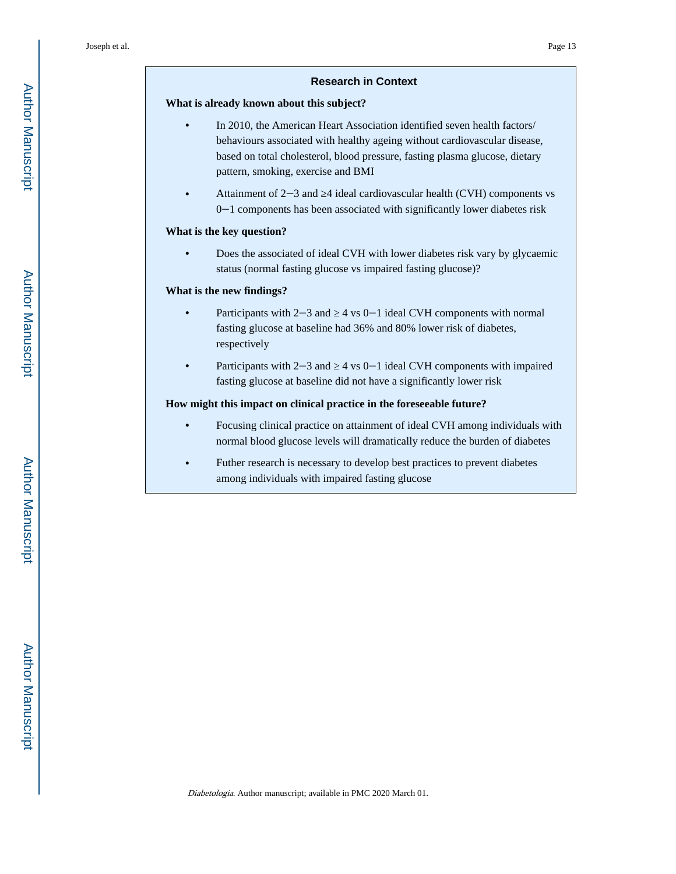#### **Research in Context**

#### **What is already known about this subject?**

- **•** In 2010, the American Heart Association identified seven health factors/ behaviours associated with healthy ageing without cardiovascular disease, based on total cholesterol, blood pressure, fasting plasma glucose, dietary pattern, smoking, exercise and BMI
- **•** Attainment of 2‒3 and ≥4 ideal cardiovascular health (CVH) components vs 0‒1 components has been associated with significantly lower diabetes risk

#### **What is the key question?**

**•** Does the associated of ideal CVH with lower diabetes risk vary by glycaemic status (normal fasting glucose vs impaired fasting glucose)?

#### **What is the new findings?**

- **•** Participants with 2−3 and 4 vs 0−1 ideal CVH components with normal fasting glucose at baseline had 36% and 80% lower risk of diabetes, respectively
- **•** Participants with 2−3 and  $\alpha$  4 vs 0−1 ideal CVH components with impaired fasting glucose at baseline did not have a significantly lower risk

#### **How might this impact on clinical practice in the foreseeable future?**

- **•** Focusing clinical practice on attainment of ideal CVH among individuals with normal blood glucose levels will dramatically reduce the burden of diabetes
- **•** Futher research is necessary to develop best practices to prevent diabetes among individuals with impaired fasting glucose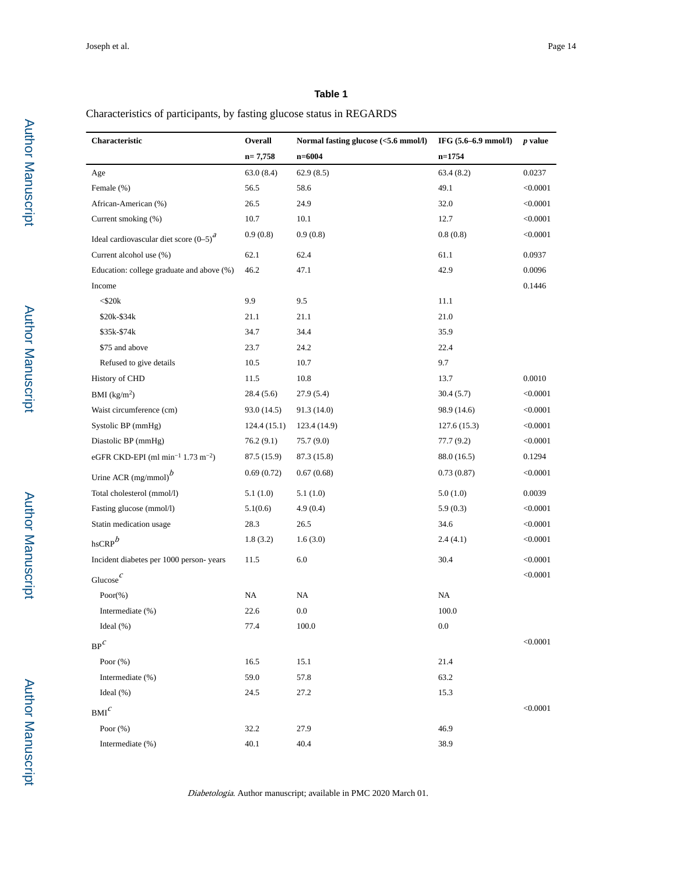#### **Table 1**

#### Characteristics of participants, by fasting glucose status in REGARDS

| Characteristic                                            | Overall     | Normal fasting glucose (<5.6 mmol/l) | IFG (5.6-6.9 mmol/l) | <i>p</i> value |
|-----------------------------------------------------------|-------------|--------------------------------------|----------------------|----------------|
|                                                           | $n=7,758$   | $n = 6004$                           | $n = 1754$           |                |
| Age                                                       | 63.0(8.4)   | 62.9(8.5)                            | 63.4(8.2)            | 0.0237         |
| Female (%)                                                | 56.5        | 58.6                                 | 49.1                 | < 0.0001       |
| African-American (%)                                      | 26.5        | 24.9                                 | 32.0                 | < 0.0001       |
| Current smoking (%)                                       | 10.7        | 10.1                                 | 12.7                 | < 0.0001       |
| Ideal cardiovascular diet score $(0-5)^a$                 | 0.9(0.8)    | 0.9(0.8)                             | 0.8(0.8)             | < 0.0001       |
| Current alcohol use (%)                                   | 62.1        | 62.4                                 | 61.1                 | 0.0937         |
| Education: college graduate and above (%)                 | 46.2        | 47.1                                 | 42.9                 | 0.0096         |
| Income                                                    |             |                                      |                      | 0.1446         |
| $<$ \$20 $k$                                              | 9.9         | 9.5                                  | 11.1                 |                |
| \$20k-\$34k                                               | 21.1        | 21.1                                 | 21.0                 |                |
| \$35k-\$74k                                               | 34.7        | 34.4                                 | 35.9                 |                |
| \$75 and above                                            | 23.7        | 24.2                                 | 22.4                 |                |
| Refused to give details                                   | 10.5        | 10.7                                 | 9.7                  |                |
| History of CHD                                            | 11.5        | 10.8                                 | 13.7                 | 0.0010         |
| BMI $(kg/m2)$                                             | 28.4 (5.6)  | 27.9(5.4)                            | 30.4(5.7)            | < 0.0001       |
| Waist circumference (cm)                                  | 93.0 (14.5) | 91.3 (14.0)                          | 98.9 (14.6)          | < 0.0001       |
| Systolic BP (mmHg)                                        | 124.4(15.1) | 123.4 (14.9)                         | 127.6(15.3)          | < 0.0001       |
| Diastolic BP (mmHg)                                       | 76.2(9.1)   | 75.7(9.0)                            | 77.7 (9.2)           | < 0.0001       |
| eGFR CKD-EPI (ml min <sup>-1</sup> 1.73 m <sup>-2</sup> ) | 87.5 (15.9) | 87.3 (15.8)                          | 88.0 (16.5)          | 0.1294         |
| Urine ACR $(mg/mmol)$ <sup>b</sup>                        | 0.69(0.72)  | 0.67(0.68)                           | 0.73(0.87)           | < 0.0001       |
| Total cholesterol (mmol/l)                                | 5.1(1.0)    | 5.1(1.0)                             | 5.0(1.0)             | 0.0039         |
| Fasting glucose (mmol/l)                                  | 5.1(0.6)    | 4.9(0.4)                             | 5.9(0.3)             | < 0.0001       |
| Statin medication usage                                   | 28.3        | 26.5                                 | 34.6                 | < 0.0001       |
| $h$ sCRP $^b$                                             | 1.8(3.2)    | 1.6(3.0)                             | 2.4(4.1)             | < 0.0001       |
| Incident diabetes per 1000 person-years                   | 11.5        | 6.0                                  | 30.4                 | < 0.0001       |
| Glucose $\int$                                            |             |                                      |                      | < 0.0001       |
| $Poor(\% )$                                               | NA          | NA                                   | NA                   |                |
| Intermediate (%)                                          | 22.6        | 0.0                                  | 100.0                |                |
| Ideal $(\%)$                                              | 77.4        | 100.0                                | $0.0\,$              |                |
| $BP^C$                                                    |             |                                      |                      | < 0.0001       |
| Poor $(\% )$                                              | 16.5        | 15.1                                 | 21.4                 |                |
| Intermediate (%)                                          | 59.0        | 57.8                                 | 63.2                 |                |
| Ideal $(\%)$                                              | 24.5        | 27.2                                 | 15.3                 |                |
| $\mathrm{BMI}^\mathcal{C}$                                |             |                                      |                      | < 0.0001       |
| Poor $(\% )$                                              | 32.2        | 27.9                                 | 46.9                 |                |
| Intermediate (%)                                          | 40.1        | 40.4                                 | 38.9                 |                |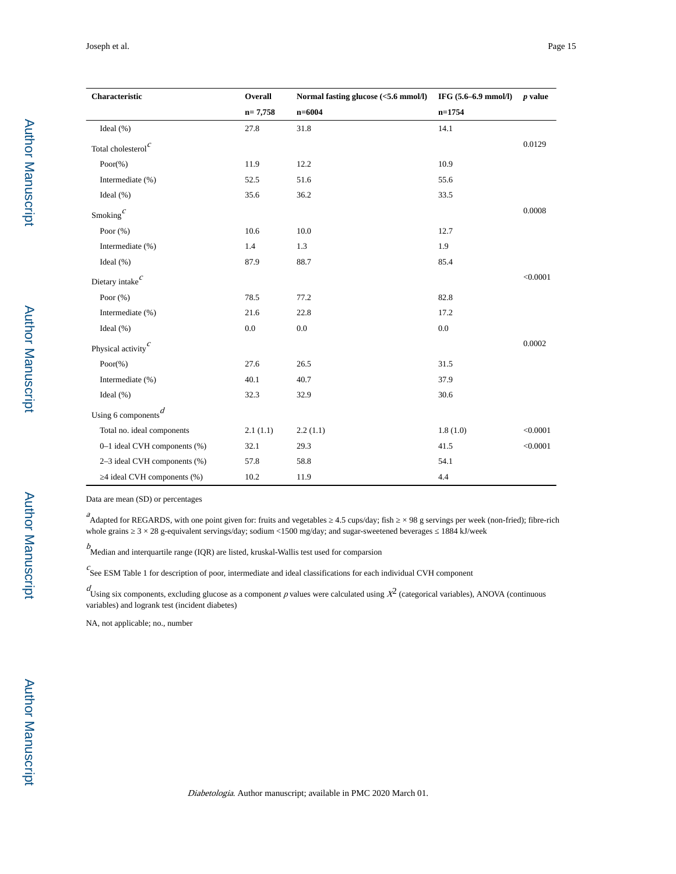| Characteristic                      | Overall   | Normal fasting glucose (<5.6 mmol/l) | IFG (5.6-6.9 mmol/l) | <i>p</i> value |
|-------------------------------------|-----------|--------------------------------------|----------------------|----------------|
|                                     | $n=7,758$ | $n = 6004$                           | $n=1754$             |                |
| Ideal $(\% )$                       | 27.8      | 31.8                                 | 14.1                 |                |
| Total cholesterol $c$               |           |                                      |                      | 0.0129         |
| Poor $(\%)$                         | 11.9      | 12.2                                 | 10.9                 |                |
| Intermediate (%)                    | 52.5      | 51.6                                 | 55.6                 |                |
| Ideal $(\% )$                       | 35.6      | 36.2                                 | 33.5                 |                |
| Smoking $\int$                      |           |                                      |                      | 0.0008         |
| Poor $(\% )$                        | 10.6      | 10.0                                 | 12.7                 |                |
| Intermediate (%)                    | 1.4       | 1.3                                  | 1.9                  |                |
| Ideal $(\% )$                       | 87.9      | 88.7                                 | 85.4                 |                |
| Dietary intake $^c$                 |           |                                      |                      | < 0.0001       |
| Poor $(\% )$                        | 78.5      | 77.2                                 | 82.8                 |                |
| Intermediate (%)                    | 21.6      | 22.8                                 | 17.2                 |                |
| Ideal $(\% )$                       | $0.0\,$   | 0.0                                  | 0.0                  |                |
| Physical activity <sup>c</sup>      |           |                                      |                      | 0.0002         |
| $Poor(\% )$                         | 27.6      | 26.5                                 | 31.5                 |                |
| Intermediate (%)                    | 40.1      | 40.7                                 | 37.9                 |                |
| Ideal $(\% )$                       | 32.3      | 32.9                                 | 30.6                 |                |
| Using 6 components $\boldsymbol{d}$ |           |                                      |                      |                |
| Total no. ideal components          | 2.1(1.1)  | 2.2(1.1)                             | 1.8(1.0)             | < 0.0001       |
| 0-1 ideal CVH components (%)        | 32.1      | 29.3                                 | 41.5                 | < 0.0001       |
| 2-3 ideal CVH components (%)        | 57.8      | 58.8                                 | 54.1                 |                |
| 4 ideal CVH components (%)          | 10.2      | 11.9                                 | 4.4                  |                |

Data are mean (SD) or percentages

 $a^2$ Adapted for REGARDS, with one point given for: fruits and vegetables  $4.5 \text{ cups/day}$ ; fish  $\times 98$  g servings per week (non-fried); fibre-rich whole grains  $3 \times 28$  g-equivalent servings/day; sodium <1500 mg/day; and sugar-sweetened beverages 1884 kJ/week

 $\stackrel{b}{\sim}$  Median and interquartile range (IQR) are listed, kruskal-Wallis test used for comparsion

 $c$ See ESM Table 1 for description of poor, intermediate and ideal classifications for each individual CVH component

 $d_{\text{Using six components, excluding glucose as a component } p \text{ values were calculated using } X^2 \text{ (categorical variables), ANOVA (continuous) }}$ variables) and logrank test (incident diabetes)

NA, not applicable; no., number

Author Manuscript

Author Manuscript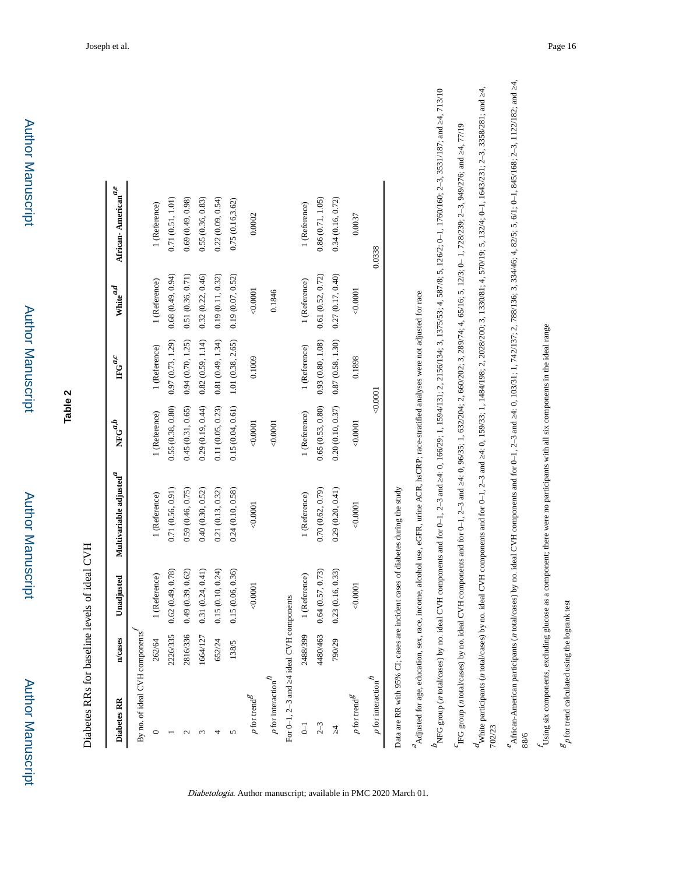| Diabetes RR                                       | n/cases  | Unadjusted       | Multivariable adjusted $\!\!^d$                                                                                                                                                       | ${\rm NFG}^{a,b}$     | $\mathrm{IFG}^{a,c}$ | White $\real^{a,d}$ | African-American <sup>a,e</sup> |
|---------------------------------------------------|----------|------------------|---------------------------------------------------------------------------------------------------------------------------------------------------------------------------------------|-----------------------|----------------------|---------------------|---------------------------------|
| By no. of ideal CVH components                    |          |                  |                                                                                                                                                                                       |                       |                      |                     |                                 |
|                                                   | 262/64   | 1 (Reference)    | 1 (Reference)                                                                                                                                                                         | 1 (Reference)         | 1 (Reference)        | 1 (Reference)       | 1 (Reference)                   |
|                                                   | 2226/335 | 0.62(0.49, 0.78) | 0.71(0.56, 0.91)                                                                                                                                                                      | $0.55\ (0.38,\,0.80)$ | 0.97(0.73, 1.29)     | 0.68(0.49, 0.94)    | 0.71(0.51, 1.01)                |
| $\mathbf{\sim}$                                   | 2816/336 | 0.49(0.39, 0.62) | 0.59(0.46, 0.75)                                                                                                                                                                      | 0.45(0.31, 0.65)      | 0.94(0.70, 1.25)     | 0.51(0.36, 0.71)    | 0.69(0.49, 0.98)                |
|                                                   | 1664/127 | 0.31(0.24, 0.41) | 0.40(0.30, 0.52)                                                                                                                                                                      | 0.29(0.19, 0.44)      | 0.82(0.59, 1.14)     | 0.32(0.22, 0.46)    | 0.55(0.36, 0.83)                |
| 4                                                 | 652/24   | 0.15(0.10, 0.24) | 0.21(0.13, 0.32)                                                                                                                                                                      | 0.11(0.05, 0.23)      | 0.81(0.49, 1.34)     | 0.19(0.11, 0.32)    | 0.22(0.09, 0.54)                |
| S                                                 | 138/5    | 15 (0.06, 0.36)  | 0.24(0.10, 0.58)                                                                                                                                                                      | 0.15(0.04, 0.61)      | 1.01(0.38, 2.65)     | 0.19(0.07, 0.52)    | 0.75(0.16, 3.62)                |
| $p$ for trend $^g$                                |          | 0.0001           | 0.0001                                                                                                                                                                                | 0.0001                | 0.1009               | 0.0001              | 0.0002                          |
| $p$ for interaction $\hbar$                       |          |                  |                                                                                                                                                                                       | 0.0001                |                      | 0.1846              |                                 |
| For 0-1, 2-3 and 4 ideal CVH components           |          |                  |                                                                                                                                                                                       |                       |                      |                     |                                 |
| $\overline{\cup}$                                 | 2488/399 | 1 (Reference)    | 1 (Reference)                                                                                                                                                                         | 1 (Reference)         | 1 (Reference)        | 1 (Reference)       | 1 (Reference)                   |
| $2 - 3$                                           | 4480/463 | .64(0.57, 0.73)  | 0.70(0.62, 0.79)                                                                                                                                                                      | 0.65(0.53, 0.80)      | 0.93(0.80, 1.08)     | 0.61(0.52, 0.72)    | 0.86(0.71, 1.05)                |
|                                                   | 790/29   | (23(0.16, 0.33)) | 0.29(0.20, 0.41)                                                                                                                                                                      | $0.20\ (0.10,\,0.37)$ | 0.87(0.58, 1.30)     | 0.27(0.17, 0.40)    | 0.34(0.16, 0.72)                |
| $p$ for trend $^g$                                |          | 0.0001           | 0.0001                                                                                                                                                                                | 0.0001                | 0.1898               | 0.0001              | 0.0037                          |
| $\boldsymbol{p}$ for interaction $\boldsymbol{h}$ |          |                  |                                                                                                                                                                                       |                       | 0.0001               |                     | 0.0338                          |
|                                                   |          |                  | Data are RR with 95% CI; cases are incident cases of diabetes during the study                                                                                                        |                       |                      |                     |                                 |
|                                                   |          |                  | <sup>2</sup> Adjusted for age, education, sex, race, income, alcohol use, eGFR, urine ACR, hsCRP; race-stratified analyses were not adjusted for race                                 |                       |                      |                     |                                 |
|                                                   |          |                  | NFG group (n total/cases) by no. ideal CVH components and for 0-1, 2-3 and 4: 0, 166/29; 1, 1594/131; 2, 2156/134; 3, 1375/53; 4, 587/8; 5, 126/2; 0-1, 1760/160; 2-3, 3531/187; and  |                       |                      |                     |                                 |
|                                                   |          |                  | IFG group (n total/cases) by no. ideal CVH components and for 0-1, 2-3 and 4: 0, 96/35; 1, 63/204; 2, 660/202; 3, 289/74; 4, 65/16; 5, 12/3; 0-1, 728/239; 2-3, 949/276; and 4, 77/19 |                       |                      |                     |                                 |

Diabetologia. Author manuscript; available in PMC 2020 March 01.

4,713/10 n total/cases) by no. ideal CVH components and for 0–1, 2–3 and →4: 0, 166/29; 1, 1594/131; 2, 2156/134; 3, 1375/8; 5, 126/2; 0–1, 1760/160/160; 2–3, 3531/187; and →4, 713/10 NFG group (  $a\quad \sigma$   $c$ 

 $\overline{4}$ n total/cases) by no. ideal CVH components and for 0–1, 2–3 and 4: 0, 159/33; 1, 1484/198; 2, 2028/200; 3, 1330/19; 5, 1324; 0–1, 1643/231; 2–3, 3358/281; and 4, White participants (n total/cases) by no. ideal CVH components and for 0-1, 2-3 and 4: 0, 159/33; 1, 1484/198; 2, 2028/200; 3, 1330/81; 4, 570/19; 5, 132/4; 0-1, 1643/231; 2-3, 3358/281; and White participants ( 702/23

 $\overline{4}$ n total/cases) by no. ideal CVH components and for 0–1, 2–3 and 4: 0, 103/31; 1, 742/137; 2, 788/136; 3, 334/46; 4, 82/5; 5, 6/1; 0–1, 845/168; 2–3, 1122/182; and 4,  $^2$ African-American participants (n total/cases) by no. ideal CVH components and for 0-1, 2-3 and 4: 0, 103/31; 1, 742/137; 2, 788/136; 3, 334/46; 4, 82/5; 5, 6/1; 0-1, 845/168; 2-3, 1122/182; and African-American participants (

88/6

Using six components, excluding glucose as a component; there were no participants with all six components in the ideal range Using six components, excluding glucose as a component; there were no participants with all six components in the ideal range

 $\mathcal{E}_p$  for trend calculated using the logrank test p for trend calculated using the logrank test

**Table 2**

Author Manuscript

**Author Manuscript** 

Author Manuscript

Author Manuscript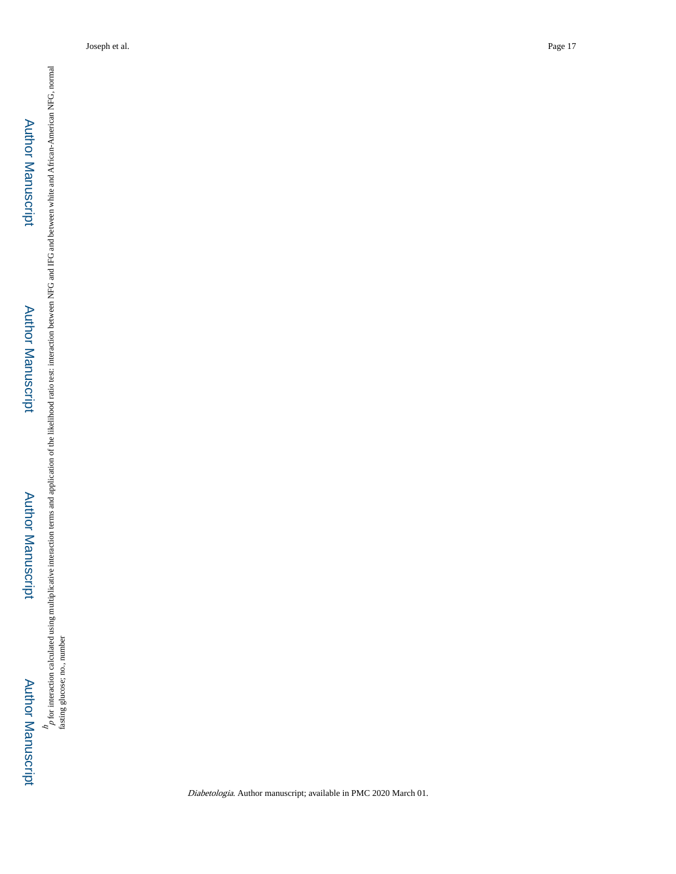# Author Manuscript**Author Manuscript**

 Author Manuscript**Author Manuscript**  h, p for interaction calculated using multiplicative interaction terms and application of the likelihood ratio test: interaction between NFG and IFG and between white and African-American NFG, normal fasting glucose; no., number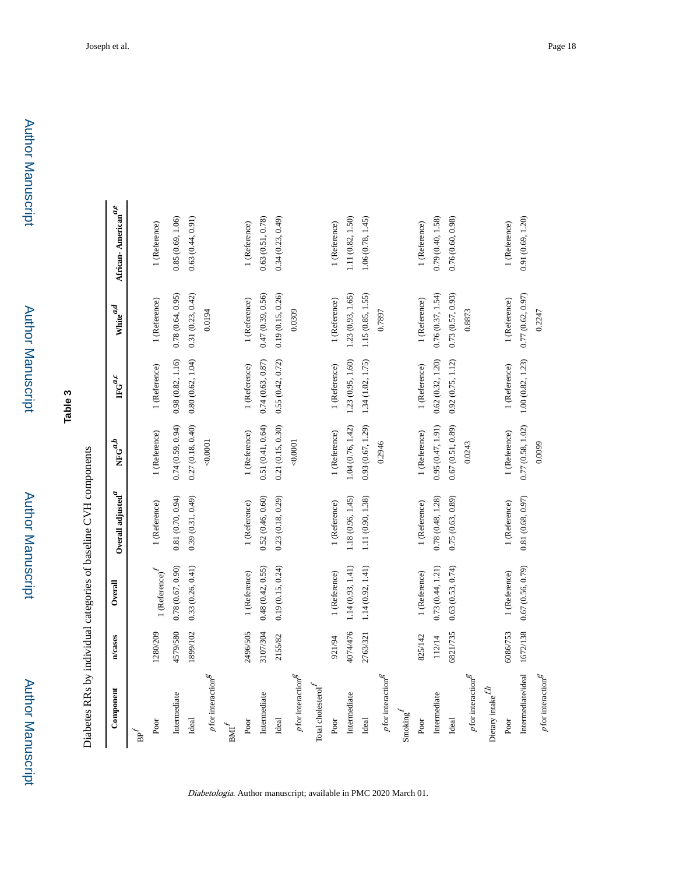Author Manuscript

Author Manuscript

Author Manuscript

| Component                              | n/cases  | Overall                   | Overall adjusted $\hspace{-1.5mm}^d$ | ${\rm NFG}^{a,b}$     | $\mathbb{F} \mathbf{G}^{a,c}$ | White $\real^{a,d}$ | African-American $a,e$ |
|----------------------------------------|----------|---------------------------|--------------------------------------|-----------------------|-------------------------------|---------------------|------------------------|
| B <sup>2</sup>                         |          |                           |                                      |                       |                               |                     |                        |
| Poor                                   | 280/209  | $1$ (Reference) $\!\!f\!$ | 1 (Reference)                        | 1 (Reference)         | 1 (Reference)                 | 1 (Reference)       | 1 (Reference)          |
| Intermediate                           | 4579/580 | 0.78(0.67, 0.90)          | 0.81(0.70, 0.94)                     | 0.74(0.59, 0.94)      | 0.98(0.82, 1.16)              | 0.78(0.64, 0.95)    | 0.85(0.69, 1.06)       |
| Ideal                                  | 1899/102 | 0.33(0.26, 0.41)          | 0.39(0.31, 0.49)                     | 0.27(0.18, 0.40)      | 0.80(0.62, 1.04)              | 0.31(0.23, 0.42)    | 0.63(0.44, 0.91)       |
| $p$ for interaction $^{\mathcal{B}}$   |          |                           |                                      | 0.0001                |                               | 0.0194              |                        |
| $\mathrm{BM}^f$                        |          |                           |                                      |                       |                               |                     |                        |
| Poor                                   | 2496/505 | 1 (Reference)             | 1 (Reference)                        | 1 (Reference)         | 1 (Reference)                 | 1 (Reference)       | 1 (Reference)          |
| Intermediate                           | 3107/304 | 0.48(0.42, 0.55)          | 0.52(0.46, 0.60)                     | 0.51(0.41, 0.64)      | 0.74(0.63, 0.87)              | 0.47(0.39, 0.56)    | 0.63(0.51, 0.78)       |
| Ideal                                  | 2155/82  | 0.19(0.15, 0.24)          | 0.23(0.18, 0.29)                     | 0.21(0.15, 0.30)      | 0.55(0.42, 0.72)              | 0.19(0.15, 0.26)    | 0.34(0.23, 0.49)       |
| $p$ for interaction $g$                |          |                           |                                      | 0.0001                |                               | 0.0309              |                        |
| Total cholesterol $\boldsymbol{f}$     |          |                           |                                      |                       |                               |                     |                        |
| Poor                                   | 921/94   | 1 (Reference)             | 1 (Reference)                        | 1 (Reference)         | 1 (Reference)                 | 1 (Reference)       | 1 (Reference)          |
| Intermediate                           | 4074/476 | $1.14(0.93, 1.41)$        | 1.18 (0.96, 1.45)                    | $1.04\ (0.76,\,1.42)$ | 1.23(0.95, 1.60)              | 1.23(0.93, 1.65)    | 1.11 (0.82, 1.50)      |
| Ideal                                  | 2763/321 | 1.14(0.92, 1.41)          | 1.11 (0.90, 1.38)                    | 0.93(0.67, 1.29)      | 1.34 (1.02, 1.75)             | 1.15(0.85, 1.55)    | 1.06 (0.78, 1.45)      |
| $p$ for interaction $g$                |          |                           |                                      | 0.2946                |                               | 0.7897              |                        |
| $Smoking^I$                            |          |                           |                                      |                       |                               |                     |                        |
| Poor                                   | 825/142  | 1 (Reference)             | 1 (Reference)                        | 1 (Reference)         | 1 (Reference)                 | 1 (Reference)       | 1 (Reference)          |
| Intermediate                           | 112/14   | 0.73(0.44, 1.21)          | 0.78(0.48, 1.28)                     | 0.95(0.47, 1.91)      | 0.62(0.32, 1.20)              | 0.76(0.37, 1.54)    | 0.79(0.40, 1.58)       |
| Ideal                                  | 6821/735 | 0.63(0.53, 0.74)          | 0.75(0.63, 0.89)                     | 0.67(0.51, 0.89)      | 0.92(0.75, 1.12)              | 0.73(0.57, 0.93)    | 0.76 (0.60, 0.98)      |
| $p$ for interaction $\hspace{-1.5pt}S$ |          |                           |                                      | 0.0243                |                               | 0.8873              |                        |
| Dietary intake $f$ <i>h</i>            |          |                           |                                      |                       |                               |                     |                        |
| Poor                                   | 6086/753 | 1 (Reference)             | 1 (Reference)                        | 1 (Reference)         | 1 (Reference)                 | 1 (Reference)       | 1 (Reference)          |
| Intermediate/ideal                     | 1672/138 | 0.67(0.56, 0.79)          | 0.81(0.68, 0.97)                     | $0.77\ (0.58,\ 1.02)$ | 1.00(0.82, 1.23)              | 0.77(0.62, 0.97)    | 0.91(0.69, 1.20)       |
| $p$ for interaction $^{\mathcal{E}}$   |          |                           |                                      | 0.0099                |                               | 0.2247              |                        |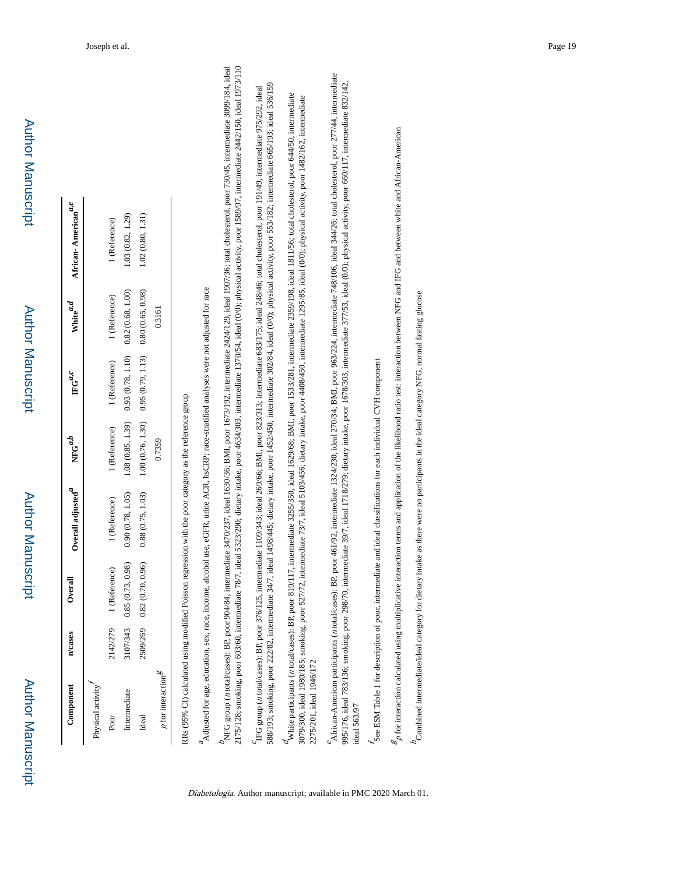Author Manuscript

Author Manuscript

| $\mathbb{C}$ omponent          | n/cases  | Overall          | Overall adjusted $NFG^{a,b}$ |                   | ${\rm \mathbf{F}\mathbf{G}}^{a,c}$    | White $\hspace{-1em}^{a,d}$ | African-American <sup>a,t</sup> |
|--------------------------------|----------|------------------|------------------------------|-------------------|---------------------------------------|-----------------------------|---------------------------------|
| hysical activity               |          |                  |                              |                   |                                       |                             |                                 |
| Poor                           | 2142/279 | 1 (Reference)    | I (Reference)                | l (Reference)     | 1 (Reference)                         | 1 (Reference)               | (Reference)                     |
| ntermediate                    | 3107/343 | 0.85(0.73, 0.98) | 0.90(0.78, 1.05)             | 1.08 (0.85, 1.39) | 0.93(0.78, 1.10)                      | 0.82(0.68, 1.00)            | .03(0.82, 1.29)                 |
| Ideal                          | 2509/269 | 0.82(0.70, 0.96) | 0.88(0.75, 1.03)             | 1.00(0.76, 1.30)  | $0.95(0.79, 1.13)$ $0.80(0.65, 0.98)$ |                             | .02(0.80, 1.31)                 |
| <b><i>nfor interaction</i></b> |          |                  |                              | 0.7359            |                                       | 0.3161                      |                                 |

RRs (95% CI) calculated using modified Poisson regression with the poor category as the reference group RRs (95% CI) calculated using modified Poisson regression with the poor category as the reference group <sup>2</sup> Adjusted for age, education, sex, race, income, alcohol use, eGFR, urine ACR, hsCRP; race-stratified analyses were not adjusted for race Adjusted for age, education, sex, race, income, alcohol use, eGFR, urine ACR, hsCRP; race-stratified analyses were not adjusted for race

2175/128; smoking, poor 603/60, intermediate 78/7, ideal 5323/290; dietary intake, poor 4634/303, intermediate 1370/54, ideal (0/0); physical activity, poor 1589/97, intermediate 2442/150, ideal 1973/110 NFG group (n total/cases): BP, poor 904/84, intermediate 3470/237, ideal 1630/36; BMI, poor 1673/192, intermediate 2424/129, ideal 1907/36; total cholesterol, poor 730/45, intermediate 3099/184, ideal n total/cases): BP, poor 904/84, intermediate 3470/237, ideal 1630/36; BMI, poor 1673/192, intermediate 2424/129, ideal 1907/36; total cholesterol, poor 730/45, intermediate 3099/184, ideal 2175/128; smoking, poor 603/60, intermediate 78/7, ideal 5323/290; dietary intake, poor 4634/303, intermediate 1370/54, ideal (0/0); physical activity, poor 1589/97, intermediate 2442/150, ideal 1973/110 NFG group (

588/193; smoking, poor 222/82, intermediate 34/7, ideal 1498/445; dietary intake, poor 1452/450, intermediate 302/84, ideal (0/0); physical activity, poor 553/182; intermediate 665/193; ideal 536/159 588/193; smoking, poor 222/82, intermediate 34/7, ideal 1498/445; dietary intake, poor 1452/450, intermediate 302/84, ideal (0/0); physical activity, poor 553/182; intermediate 665/193; ideal 536/159 FG group (n total/cases): BP, poor 376/125, intermediate 1109/343; ideal 269/66; BMI, poor 823/313; intermediate 683/175; ideal 248/46; total cholesterol, poor 191/49, intermediate 975/292, ideal n total/cases): BP, poor 376/125, intermediate 1109/343; ideal 269/66; BMI, poor 823/313; intermediate 683/175; ideal 248/46; total cholesterol, poor 191/49, intermediate 975/292, ideal IFG group (

4White participants (n total/cases): BP, poor 819/117, intermediate 3255/350, ideal 1629/68; BMI, poor 1533/281, intermediate 2359/198, ideal 1811/56; total cholesterol, poor 644/50, intermediate n total/cases): BP, poor 819/117, intermediate 3255/350, ideal 1629/68; BMI, poor 1533/281, intermediate 2359/198, ideal 1811/56; total cholesterol, poor 644/50, intermediate 8079/300, ideal 1980/185; smoking, poor 527/72, intermediate 73/7, ideal 5103/456; dietary intake, poor 4408/450, intermediate 1295/85, ideal (0/0); physical activity, poor 1482/162, intermediate 3079/300, ideal 1980/185; smoking, poor 527/72, intermediate 73/7, ideal 5103/456; dietary intake, poor 4408/450, intermediate 1295/85, ideal (0/0); physical activity, poor 1482/162, intermediate 2275/201, ideal 1946/172 2275/201, ideal 1946/172 White participants (

African-American participants (*n* total/cases): BP, poor 461/92, intermediate 1324/230, ideal 270/34; BMI, poor 963/224, intermediate 748/106, ideal 344/26; total cholesterol, poor 277/44, intermediate n total/cases): BP, poor 461/92, intermediate 1324/230, ideal 270/34; BMI, poor 963/224, intermediate 748/106, ideal 344/26; total cholesterol, poor 277/44, intermediate 995/176, ideal 783/136; smoking, poor 298/70, intermediate 39/7, ideal 1718/279; dietary intake, poor 1678/303, intermediate 377/53, ideal (0/0); physical activity, poor 660/117, intermediate 832/142, 995/176, ideal 783/136; smoking, poor 298/70, intermediate 39/7, ideal 1718/279; dietary intake, poor 1678/303, intermediate 377/53, ideal (0/0); physical activity, poor 660/117, intermediate 832/142, African-American participants ( deal 563/97

See ESM Table 1 for description of poor, intermediate and ideal classifications for each individual CVH component See ESM Table 1 for description of poor, intermediate and ideal classifications for each individual CVH component

 ${}^g\rho$  for interaction calculated using multiplicative interaction terms and application of the likelihood ratio test: interaction between NFG and between white and African-American p for interaction calculated using multiplicative interaction terms and application of the likelihood ratio test: interaction between NFG and IFG and between white and African-American

 $h$  combined intermediate/ideal category for dietary intake as there were no participants in the ideal category NFG, normal fasting glucose Combined intermediate/ideal category for dietary intake as there were no participants in the ideal category NFG, normal fasting glucose